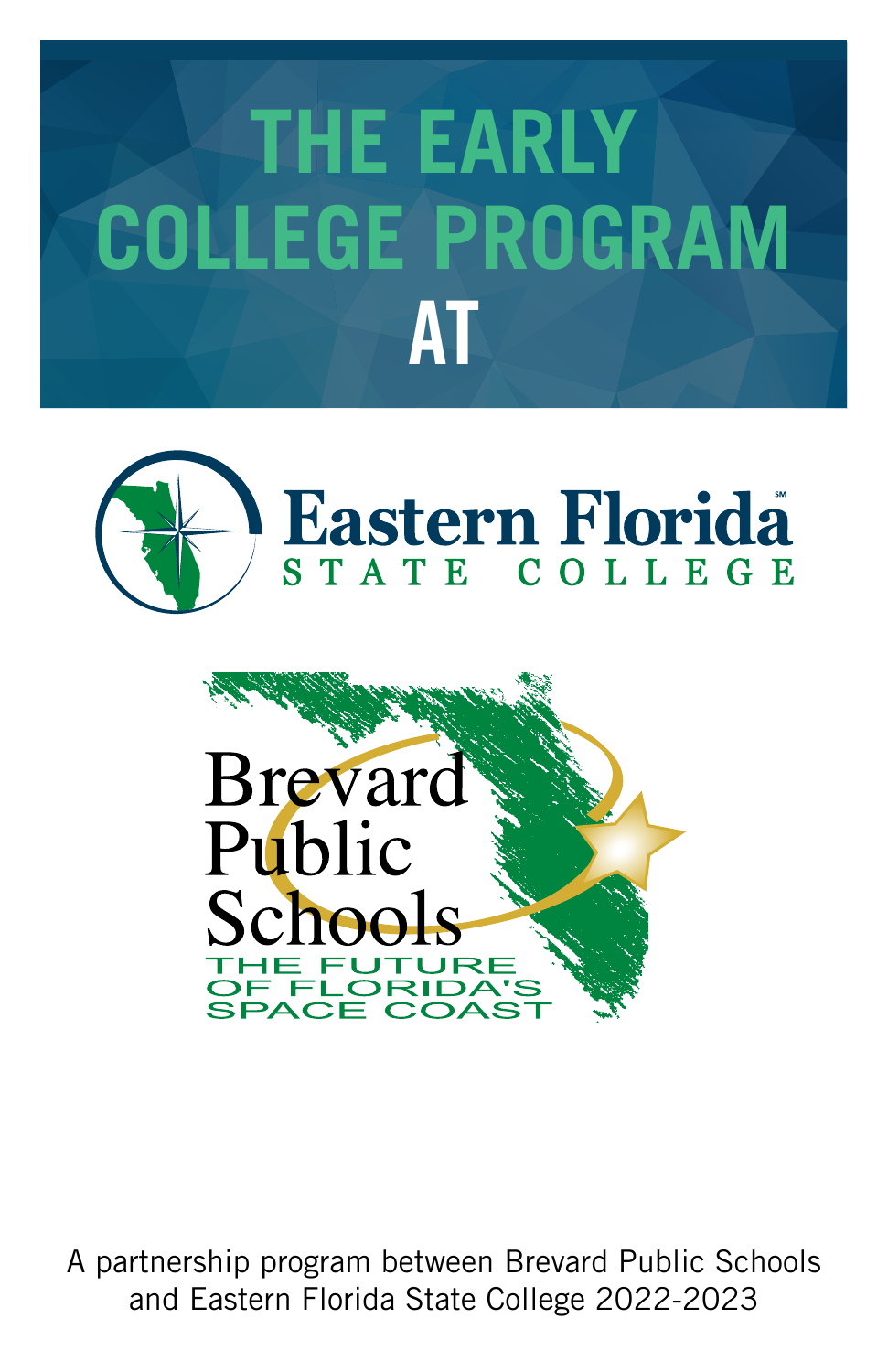# **THE EARLY COLLEGE PROGRAM AT**





A partnership program between Brevard Public Schools and Eastern Florida State College 2022-2023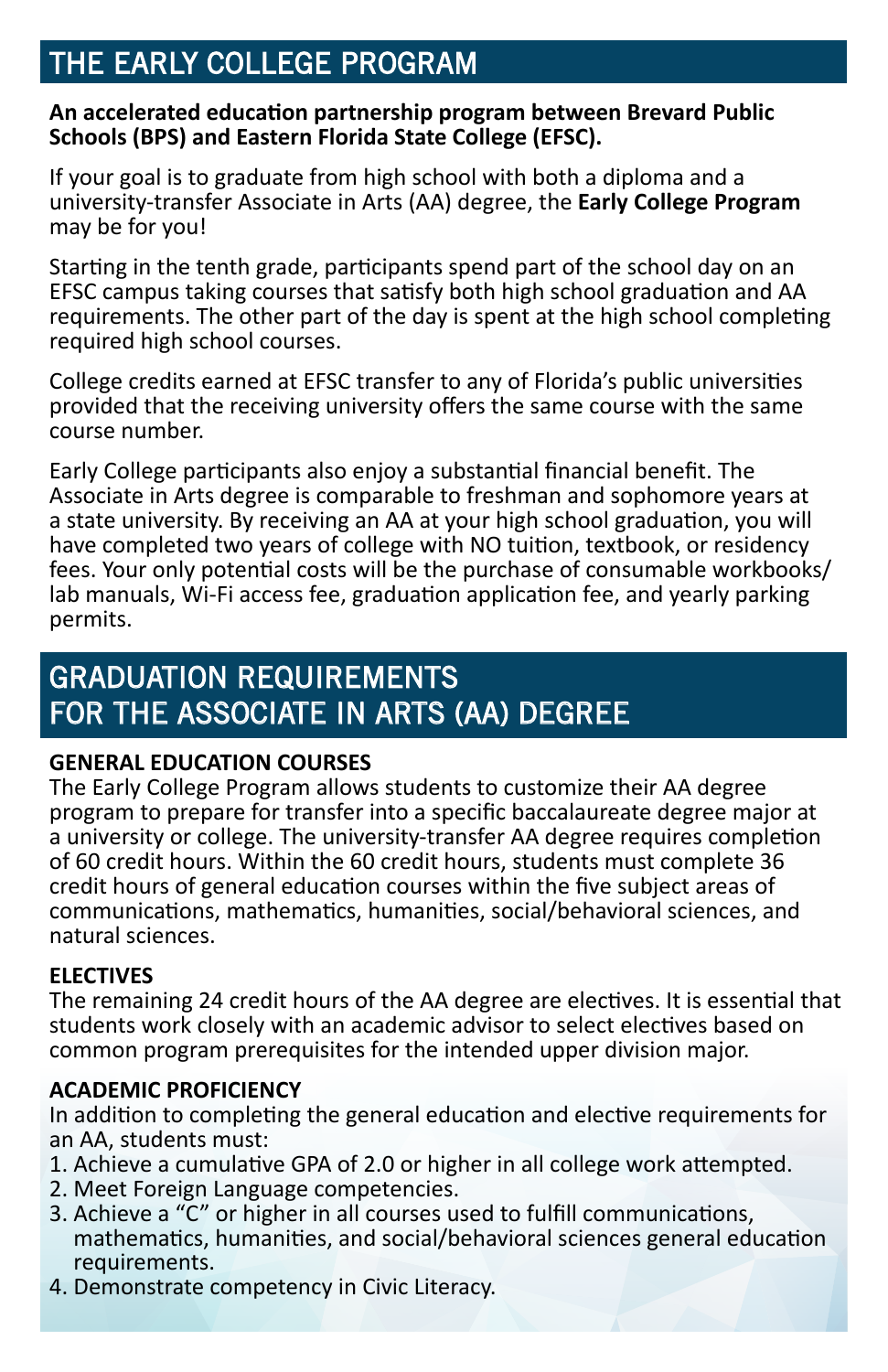# THE EARLY COLLEGE PROGRAM

#### **An accelerated education partnership program between Brevard Public Schools (BPS) and Eastern Florida State College (EFSC).**

If your goal is to graduate from high school with both a diploma and a university-transfer Associate in Arts (AA) degree, the **Early College Program** may be for you!

Starting in the tenth grade, participants spend part of the school day on an EFSC campus taking courses that satisfy both high school graduation and AA requirements. The other part of the day is spent at the high school completing required high school courses.

College credits earned at EFSC transfer to any of Florida's public universities provided that the receiving university offers the same course with the same course number.

Early College participants also enjoy a substantial financial benefit. The Associate in Arts degree is comparable to freshman and sophomore years at a state university. By receiving an AA at your high school graduation, you will have completed two years of college with NO tuition, textbook, or residency fees. Your only potential costs will be the purchase of consumable workbooks/ lab manuals, Wi-Fi access fee, graduation application fee, and yearly parking permits.

# GRADUATION REQUIREMENTS FOR THE ASSOCIATE IN ARTS (AA) DEGREE

#### **GENERAL EDUCATION COURSES**

The Early College Program allows students to customize their AA degree program to prepare for transfer into a specific baccalaureate degree major at a university or college. The university-transfer AA degree requires completion of 60 credit hours. Within the 60 credit hours, students must complete 36 credit hours of general education courses within the five subject areas of communications, mathematics, humanities, social/behavioral sciences, and natural sciences.

#### **ELECTIVES**

The remaining 24 credit hours of the AA degree are electives. It is essential that students work closely with an academic advisor to select electives based on common program prerequisites for the intended upper division major.

#### **ACADEMIC PROFICIENCY**

In addition to completing the general education and elective requirements for an AA, students must:

- 1. Achieve a cumulative GPA of 2.0 or higher in all college work attempted.
- 2. Meet Foreign Language competencies.
- 3. Achieve a "C" or higher in all courses used to fulfill communications, mathematics, humanities, and social/behavioral sciences general education requirements.
- 4. Demonstrate competency in Civic Literacy.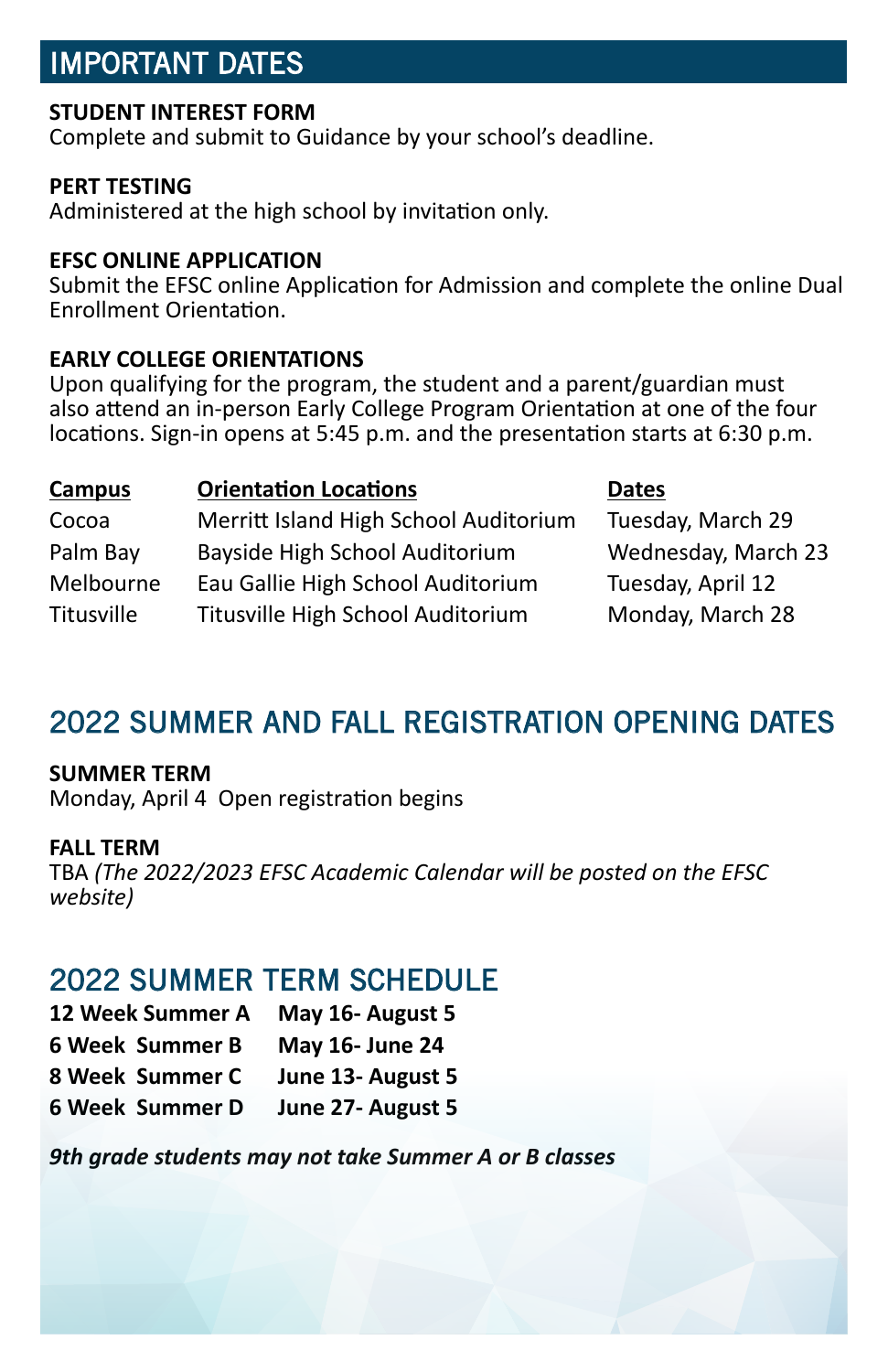## IMPORTANT DATES

#### **STUDENT INTEREST FORM**

Complete and submit to Guidance by your school's deadline.

#### **PERT TESTING**

Administered at the high school by invitation only.

#### **EFSC ONLINE APPLICATION**

Submit the EFSC online Application for Admission and complete the online Dual Enrollment Orientation.

#### **EARLY COLLEGE ORIENTATIONS**

Upon qualifying for the program, the student and a parent/guardian must also attend an in-person Early College Program Orientation at one of the four locations. Sign-in opens at 5:45 p.m. and the presentation starts at 6:30 p.m.

| <b>Campus</b> | <b>Orientation Locations</b>          | <b>Dates</b>        |
|---------------|---------------------------------------|---------------------|
| Cocoa         | Merritt Island High School Auditorium | Tuesday, March 29   |
| Palm Bay      | Bayside High School Auditorium        | Wednesday, March 23 |
| Melbourne     | Eau Gallie High School Auditorium     | Tuesday, April 12   |
| Titusville    | Titusville High School Auditorium     | Monday, March 28    |

## 2022 SUMMER AND FALL REGISTRATION OPENING DATES

#### **SUMMER TERM**

Monday, April 4 Open registration begins

#### **FALL TERM**

TBA *(The 2022/2023 EFSC Academic Calendar will be posted on the EFSC website)*

## 2022 SUMMER TERM SCHEDULE

| 12 Week Summer A       | May 16- August 5  |  |
|------------------------|-------------------|--|
| <b>6 Week Summer B</b> | May 16- June 24   |  |
| 8 Week Summer C        | June 13- August 5 |  |
| <b>6 Week Summer D</b> | June 27- August 5 |  |

*9th grade students may not take Summer A or B classes*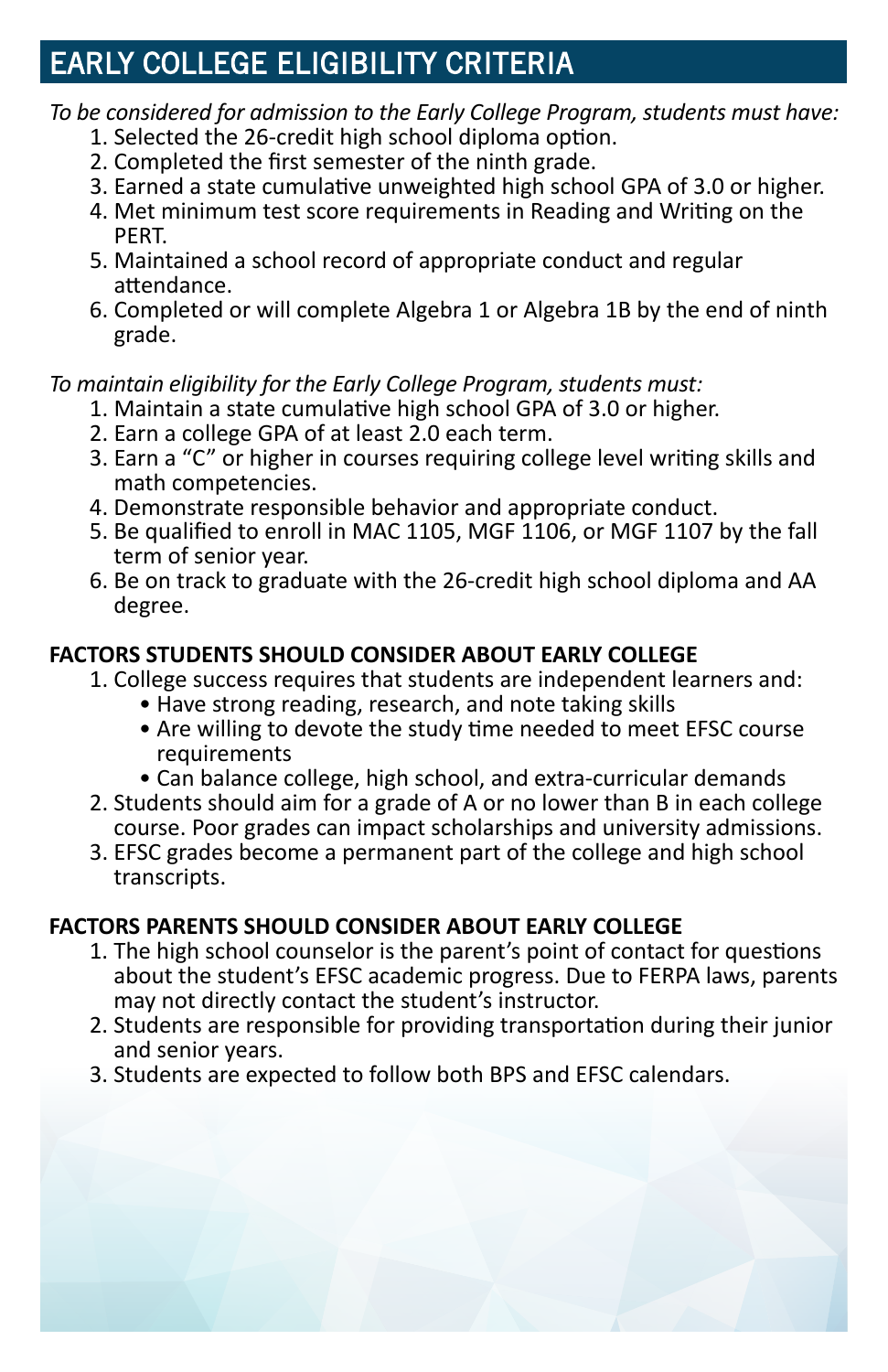# EARLY COLLEGE ELIGIBILITY CRITERIA

## *To be considered for admission to the Early College Program, students must have:*

- 1. Selected the 26-credit high school diploma option.
- 2. Completed the first semester of the ninth grade.
- 3. Earned a state cumulative unweighted high school GPA of 3.0 or higher.
- 4. Met minimum test score requirements in Reading and Writing on the PERT.
- 5. Maintained a school record of appropriate conduct and regular attendance.
- 6. Completed or will complete Algebra 1 or Algebra 1B by the end of ninth grade.

*To maintain eligibility for the Early College Program, students must:*

- 1. Maintain a state cumulative high school GPA of 3.0 or higher.
- 2. Earn a college GPA of at least 2.0 each term.
- 3. Earn a "C" or higher in courses requiring college level writing skills and math competencies.
- 4. Demonstrate responsible behavior and appropriate conduct.
- 5. Be qualified to enroll in MAC 1105, MGF 1106, or MGF 1107 by the fall term of senior year.
- 6. Be on track to graduate with the 26-credit high school diploma and AA degree.

## **FACTORS STUDENTS SHOULD CONSIDER ABOUT EARLY COLLEGE**

- 1. College success requires that students are independent learners and:
	- Have strong reading, research, and note taking skills
	- Are willing to devote the study time needed to meet EFSC course requirements
	- Can balance college, high school, and extra-curricular demands
- 2. Students should aim for a grade of A or no lower than B in each college course. Poor grades can impact scholarships and university admissions.
- 3. EFSC grades become a permanent part of the college and high school transcripts.

## **FACTORS PARENTS SHOULD CONSIDER ABOUT EARLY COLLEGE**

- 1. The high school counselor is the parent's point of contact for questions about the student's EFSC academic progress. Due to FERPA laws, parents may not directly contact the student's instructor.
- 2. Students are responsible for providing transportation during their junior and senior years.
- 3. Students are expected to follow both BPS and EFSC calendars.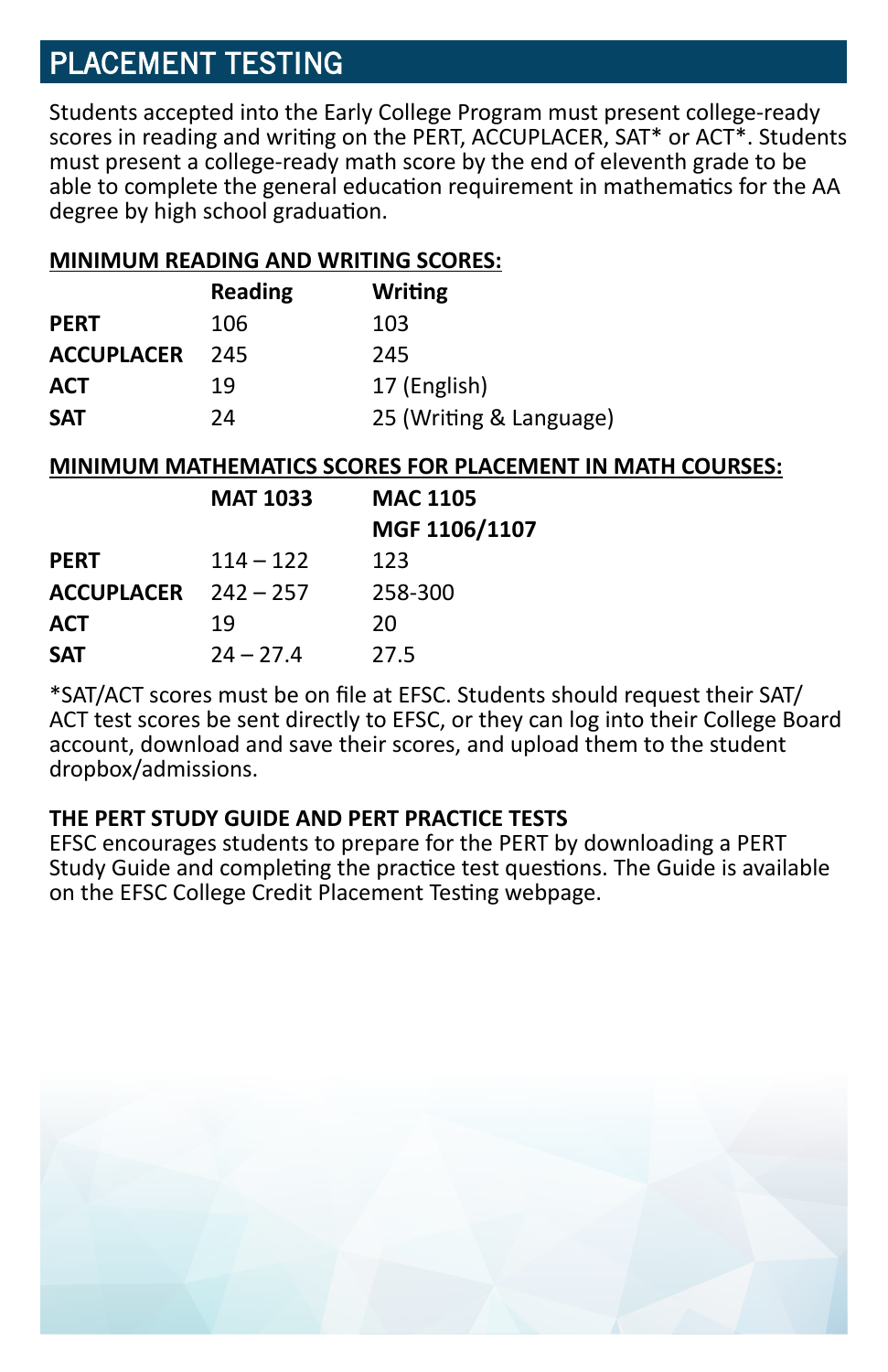# PLACEMENT TESTING

Students accepted into the Early College Program must present college-ready scores in reading and writing on the PERT, ACCUPLACER, SAT\* or ACT\*. Students must present a college-ready math score by the end of eleventh grade to be able to complete the general education requirement in mathematics for the AA degree by high school graduation.

#### **MINIMUM READING AND WRITING SCORES:**

|                   | <b>Reading</b> | <b>Writing</b>          |
|-------------------|----------------|-------------------------|
| <b>PERT</b>       | 106            | 103                     |
| <b>ACCUPLACER</b> | 245            | 245                     |
| <b>ACT</b>        | 19             | 17 (English)            |
| <b>SAT</b>        | 24             | 25 (Writing & Language) |

#### **MINIMUM MATHEMATICS SCORES FOR PLACEMENT IN MATH COURSES:**

|                   | <b>MAT 1033</b> | <b>MAC 1105</b> |
|-------------------|-----------------|-----------------|
|                   |                 | MGF 1106/1107   |
| <b>PERT</b>       | $114 - 122$     | 123             |
| <b>ACCUPLACER</b> | $242 - 257$     | 258-300         |
| <b>ACT</b>        | 19              | 20              |
| <b>SAT</b>        | $24 - 27.4$     | 27.5            |

\*SAT/ACT scores must be on file at EFSC. Students should request their SAT/ ACT test scores be sent directly to EFSC, or they can log into their College Board account, download and save their scores, and upload them to the student dropbox/admissions.

#### **THE PERT STUDY GUIDE AND PERT PRACTICE TESTS**

EFSC encourages students to prepare for the PERT by downloading a PERT Study Guide and completing the practice test questions. The Guide is available on the EFSC College Credit Placement Testing webpage.

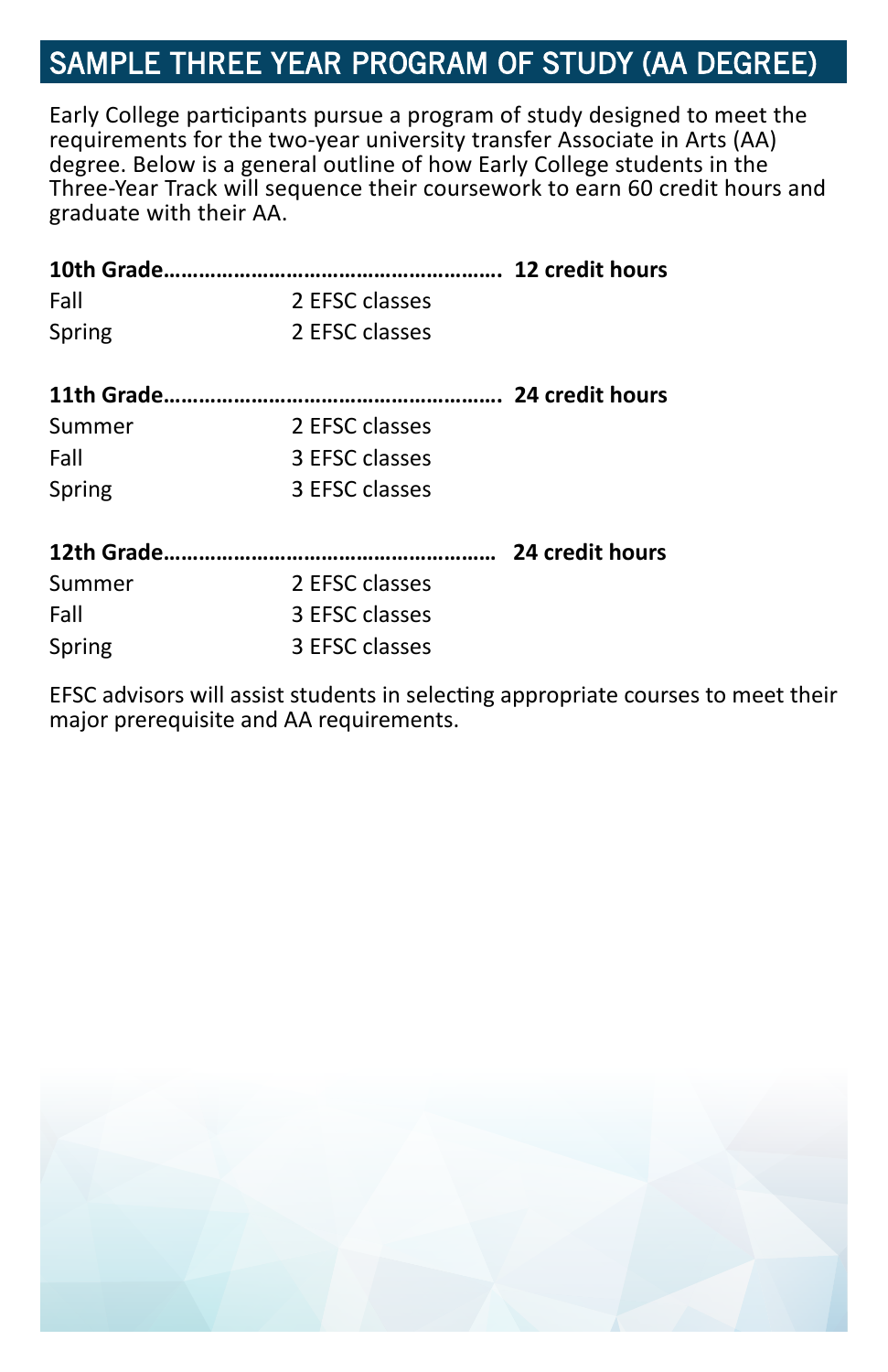# SAMPLE THREE YEAR PROGRAM OF STUDY (AA DEGREE)

Early College participants pursue a program of study designed to meet the requirements for the two-year university transfer Associate in Arts (AA) degree. Below is a general outline of how Early College students in the Three-Year Track will sequence their coursework to earn 60 credit hours and graduate with their AA.

| Fall   | 2 EFSC classes |  |
|--------|----------------|--|
| Spring | 2 EFSC classes |  |
|        |                |  |
| Summer | 2 EFSC classes |  |
| Fall   | 3 EFSC classes |  |
| Spring | 3 EFSC classes |  |
|        |                |  |
| Summer | 2 EFSC classes |  |
| Fall   | 3 EFSC classes |  |
| Spring | 3 EFSC classes |  |

EFSC advisors will assist students in selecting appropriate courses to meet their major prerequisite and AA requirements.